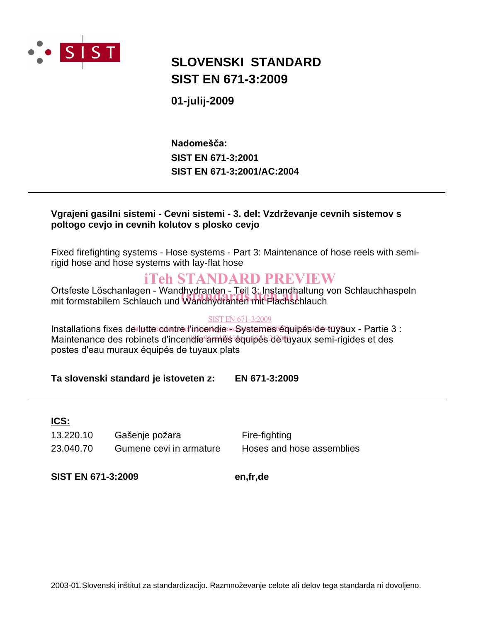

## **SLOVENSKI STANDARD SIST EN 671-3:2009**

**01-julij-2009**

**SIST EN 671-3:2001 SIST EN 671-3:2001/AC:2004 Nadomešča:**

### **Vgrajeni gasilni sistemi - Cevni sistemi - 3. del: Vzdrževanje cevnih sistemov s poltogo cevjo in cevnih kolutov s plosko cevjo**

Fixed firefighting systems - Hose systems - Part 3: Maintenance of hose reels with semirigid hose and hose systems with lay-flat hose

## iTeh STANDARD PREVIEW

Ortsfeste Löschanlagen - Wandhydranten - Teil 3: Instandhaltung von Schlauchhaspeln Ortsfeste Löschanlagen - Wandhydranten - Teil 3: Instandhaltung<br>mit formstabilem Schlauch und Wandhydranten mit Flachschlauch

### SIST EN 671-3:2009

Installations fixes de tutte contre l'incendie a Systemes équipés de tuyaux - Partie 3 : Maintenance des robinets d'incendie armes équipés de tuyaux semi-rigides et des postes d'eau muraux équipés de tuyaux plats

### **Ta slovenski standard je istoveten z: EN 671-3:2009**

### **ICS:**

13.220.10 Gašenje požara Fire-fighting 23.040.70 Gumene cevi in armature Hoses and hose assemblies

**SIST EN 671-3:2009 en,fr,de**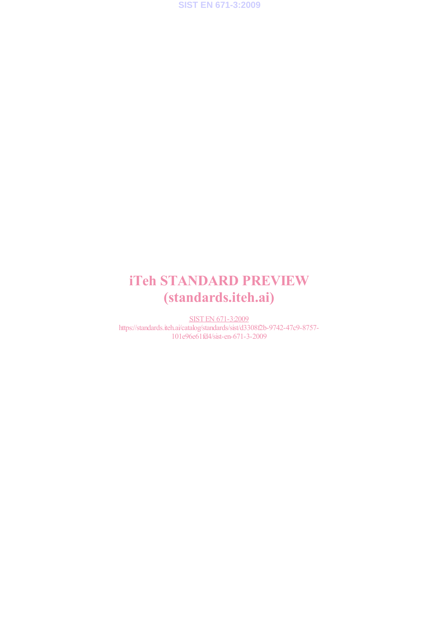**SIST EN 671-3:2009**

# iTeh STANDARD PREVIEW (standards.iteh.ai)

SIST EN 671-3:2009 https://standards.iteh.ai/catalog/standards/sist/d3308f2b-9742-47c9-8757- 101e96e61fd4/sist-en-671-3-2009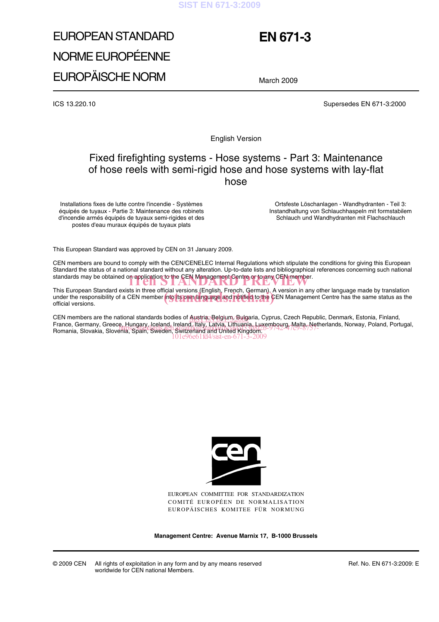#### **SIST EN 671-3:2009**

# EUROPEAN STANDARD NORME EUROPÉENNE EUROPÄISCHE NORM

## **EN 671-3**

March 2009

ICS 13.220.10 Supersedes EN 671-3:2000

English Version

### Fixed firefighting systems - Hose systems - Part 3: Maintenance of hose reels with semi-rigid hose and hose systems with lay-flat hose

Installations fixes de lutte contre l'incendie - Systèmes équipés de tuyaux - Partie 3: Maintenance des robinets d'incendie armés équipés de tuyaux semi-rigides et des postes d'eau muraux équipés de tuyaux plats

Ortsfeste Löschanlagen - Wandhydranten - Teil 3: Instandhaltung von Schlauchhaspeln mit formstabilem Schlauch und Wandhydranten mit Flachschlauch

This European Standard was approved by CEN on 31 January 2009.

CEN members are bound to comply with the CEN/CENELEC Internal Regulations which stipulate the conditions for giving this European Standard the status of a national standard without any alteration. Up-to-date lists and bibliographical references concerning such national standards may be obtained on application to the CEN Management Centre or to any CEN member.<br>
The STANDARD PREVIEW STANDARD PREVIEW PREVIEW SERVICE WAS SERVED ON A STANDARD PREVIEW SERVED ON A STANDARD P

This European Standard exists in three official versions (English, French, German). A version in any other language made by translation This European Standard exists in three official versions (English, French, German). A version in any other language made by translation<br>under the responsibility of a CEN member into its own language and notified to the CEN official versions.

CEN members are the national standards bodies of Austria, Belgium, Bulgaria, Cyprus, Czech Republic, Denmark, Estonia, Finland, CEN members are the national standards bodies of Austria, Belgium, Bulgaria, Cyprus, Czech Republic, Denmark, Estonia, Finland,<br>France, Germany, Greece, Hungary, Iceland, Ireland, Italy, Latvia, Lithuania, Luxembourg, Malt France, Germany, Greece, Hungary, Iceland, Ireland, Italy, Latvia, Litriuania, Luxempourg, Ivialia, Neir<br>Romania, Slovakia, Slovenia, Spain, Sweden, Switzerland and United Kingdom. 101e96e61fd4/sist-en-671-3-2009



EUROPEAN COMMITTEE FOR STANDARDIZATION COMITÉ EUROPÉEN DE NORMALISATION EUROPÄISCHES KOMITEE FÜR NORMUNG

**Management Centre: Avenue Marnix 17, B-1000 Brussels**

© 2009 CEN All rights of exploitation in any form and by any means reserved worldwide for CEN national Members.

Ref. No. EN 671-3:2009: E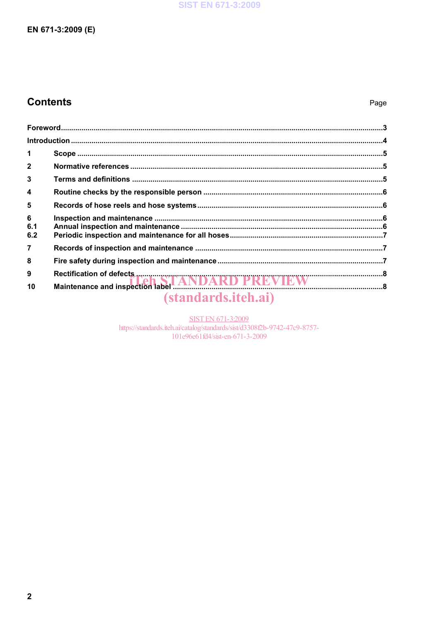## **Contents**

| $\overline{2}$   |                            |  |
|------------------|----------------------------|--|
| 3                |                            |  |
| $\boldsymbol{4}$ |                            |  |
| 5                |                            |  |
| 6<br>6.1<br>6.2  |                            |  |
| $\overline{7}$   |                            |  |
| 8                |                            |  |
| 9                |                            |  |
| 10               |                            |  |
|                  | <i>(standards.iteh.ai)</i> |  |

SIST EN 671-3:2009<br>https://standards.iteh.ai/catalog/standards/sist/d3308f2b-9742-47c9-8757-101e96e61fd4/sist-en-671-3-2009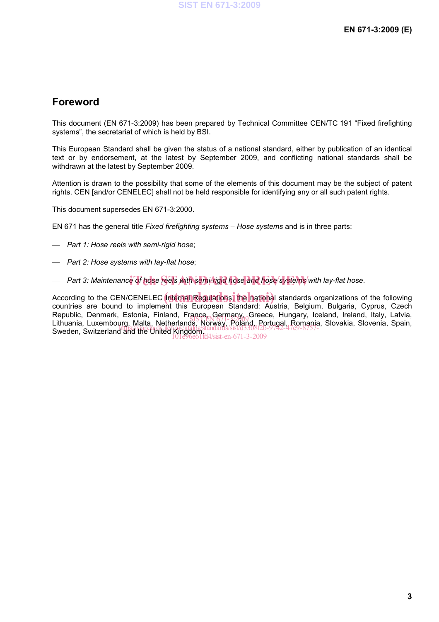### **Foreword**

This document (EN 671-3:2009) has been prepared by Technical Committee CEN/TC 191 "Fixed firefighting systems", the secretariat of which is held by BSI.

This European Standard shall be given the status of a national standard, either by publication of an identical text or by endorsement, at the latest by September 2009, and conflicting national standards shall be withdrawn at the latest by September 2009.

Attention is drawn to the possibility that some of the elements of this document may be the subject of patent rights. CEN [and/or CENELEC] shall not be held responsible for identifying any or all such patent rights.

This document supersedes EN 671-3:2000.

EN 671 has the general title *Fixed firefighting systems – Hose systems* and is in three parts:

- *Part 1: Hose reels with semi-rigid hose*;
- *Part 2: Hose systems with lay-flat hose*;
- Part 3: Maintenance of hose reels with semi-rigid hose and hose systems with lay-flat hose.

According to the CEN/CENELEC **Internal Regulations, the national** standards organizations of the following **Constanting** countries are bound to implement this European Standard: Austria, Belgium, Bulgaria, Cyprus, Czech Republic, Denmark, Estonia, Finland, France, Germany, Greece, Hungary, Iceland, Ireland, Italy, Latvia, Republic, Defifitant, Estonia, Finland, Fiance, Seffiany<sub>ng</sub> Gleece, Fiungary, Iceland, Ifeland, Italy, Latvia,<br>Lithuania, Luxembourg, Malta, Netherlands, Norway, Poland, Portugal, Romania, Slovakia, Slovenia, Spain, Sweden, Switzerland and the United Kingdom. https://standards.iteh.ai/catalog/standards/sist/d3308f2b-9742-47c9-8757- 101e96e61fd4/sist-en-671-3-2009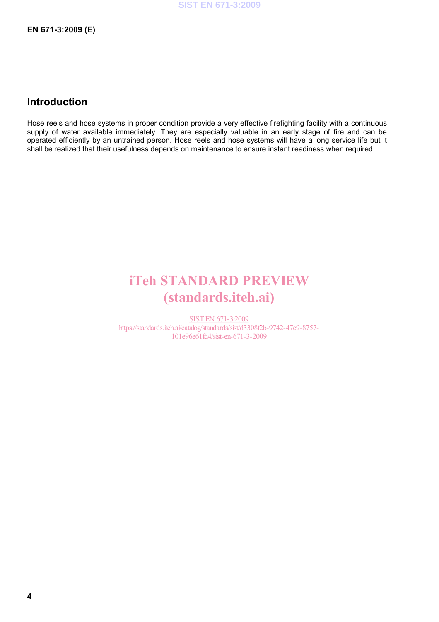### **Introduction**

Hose reels and hose systems in proper condition provide a very effective firefighting facility with a continuous supply of water available immediately. They are especially valuable in an early stage of fire and can be operated efficiently by an untrained person. Hose reels and hose systems will have a long service life but it shall be realized that their usefulness depends on maintenance to ensure instant readiness when required.

## iTeh STANDARD PREVIEW (standards.iteh.ai)

SIST EN 671-3:2009 https://standards.iteh.ai/catalog/standards/sist/d3308f2b-9742-47c9-8757- 101e96e61fd4/sist-en-671-3-2009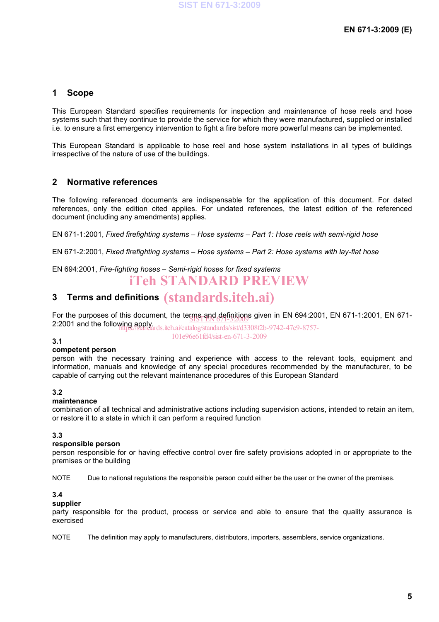### **1 Scope**

This European Standard specifies requirements for inspection and maintenance of hose reels and hose systems such that they continue to provide the service for which they were manufactured, supplied or installed i.e. to ensure a first emergency intervention to fight a fire before more powerful means can be implemented.

This European Standard is applicable to hose reel and hose system installations in all types of buildings irrespective of the nature of use of the buildings.

### **2 Normative references**

The following referenced documents are indispensable for the application of this document. For dated references, only the edition cited applies. For undated references, the latest edition of the referenced document (including any amendments) applies.

EN 671-1:2001, *Fixed firefighting systems – Hose systems – Part 1: Hose reels with semi-rigid hose*

EN 671-2:2001, *Fixed firefighting systems – Hose systems – Part 2: Hose systems with lay-flat hose* 

## EN 694:2001, *Fire-fighting hoses – Semi-rigid hoses for fixed systems*

## iTeh STANDARD PREVIEW

## **3 Terms and definitions**  (standards.iteh.ai)

For the purposes of this document, the terms and definitions given in EN 694:2001, EN 671-1:2001, EN 671-For the purposes of this document, the teurs  $\frac{1}{2}$  and  $\frac{1}{2}$  and the following apply.

https://standards.iteh.ai/catalog/standards/sist/d3308f2b-9742-47c9-8757- 101e96e61fd4/sist-en-671-3-2009

### **3.1**

#### **competent person**

person with the necessary training and experience with access to the relevant tools, equipment and information, manuals and knowledge of any special procedures recommended by the manufacturer, to be capable of carrying out the relevant maintenance procedures of this European Standard

### **3.2**

### **maintenance**

combination of all technical and administrative actions including supervision actions, intended to retain an item, or restore it to a state in which it can perform a required function

#### **3.3**

#### **responsible person**

person responsible for or having effective control over fire safety provisions adopted in or appropriate to the premises or the building

NOTE Due to national regulations the responsible person could either be the user or the owner of the premises.

#### **3.4**

#### **supplier**

party responsible for the product, process or service and able to ensure that the quality assurance is exercised

NOTE The definition may apply to manufacturers, distributors, importers, assemblers, service organizations.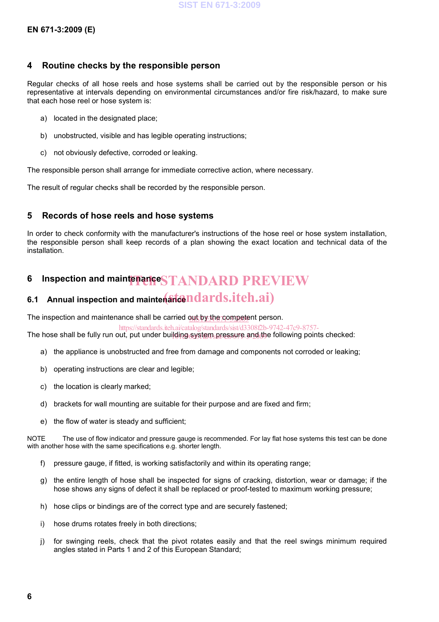### **4 Routine checks by the responsible person**

Regular checks of all hose reels and hose systems shall be carried out by the responsible person or his representative at intervals depending on environmental circumstances and/or fire risk/hazard, to make sure that each hose reel or hose system is:

- a) located in the designated place;
- b) unobstructed, visible and has legible operating instructions;
- c) not obviously defective, corroded or leaking.

The responsible person shall arrange for immediate corrective action, where necessary.

The result of regular checks shall be recorded by the responsible person.

### **5 Records of hose reels and hose systems**

In order to check conformity with the manufacturer's instructions of the hose reel or hose system installation, the responsible person shall keep records of a plan showing the exact location and technical data of the installation.

## **6 Inspection and maintenance STANDARD PREVIEW**

## 6.1 Annual inspection and mainten**ancendards.itch.ai**)

The inspection and maintenance shall be carried out by the competent person.

The hose shall be fully run out, put under building system pressure and the following points checked: https://standards.iteh.ai/catalog/standards/sist/d3308f2b-9742-47c9-8757-

- a) the appliance is unobstructed and free from damage and components not corroded or leaking;
- b) operating instructions are clear and legible;
- c) the location is clearly marked;
- d) brackets for wall mounting are suitable for their purpose and are fixed and firm;
- e) the flow of water is steady and sufficient;

NOTE The use of flow indicator and pressure gauge is recommended. For lay flat hose systems this test can be done with another hose with the same specifications e.g. shorter length.

- f) pressure gauge, if fitted, is working satisfactorily and within its operating range;
- g) the entire length of hose shall be inspected for signs of cracking, distortion, wear or damage; if the hose shows any signs of defect it shall be replaced or proof-tested to maximum working pressure;
- h) hose clips or bindings are of the correct type and are securely fastened;
- i) hose drums rotates freely in both directions;
- j) for swinging reels, check that the pivot rotates easily and that the reel swings minimum required angles stated in Parts 1 and 2 of this European Standard;